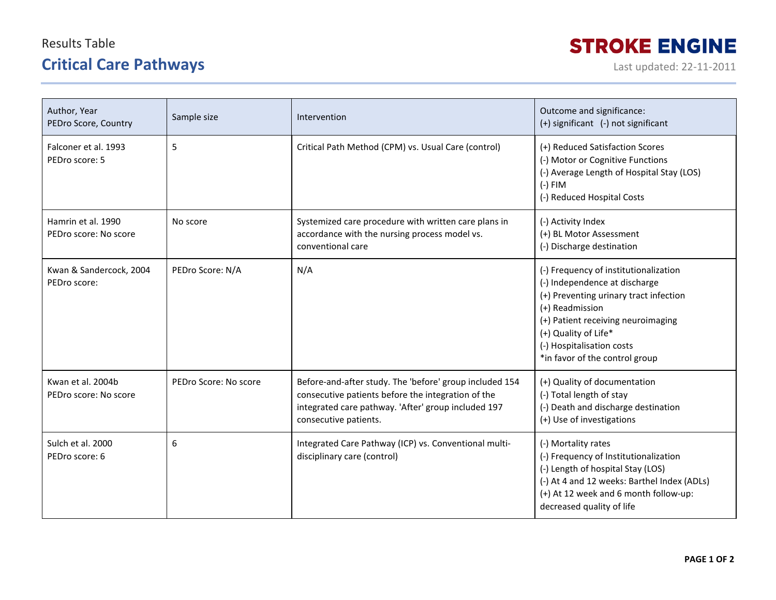## Results Table **Critical Care Pathways Last updated: 22-11-2011**

## **STROKE ENGINE**

| Author, Year<br>PEDro Score, Country        | Sample size           | Intervention                                                                                                                                                                                  | Outcome and significance:<br>(+) significant (-) not significant                                                                                                                                                                                                 |
|---------------------------------------------|-----------------------|-----------------------------------------------------------------------------------------------------------------------------------------------------------------------------------------------|------------------------------------------------------------------------------------------------------------------------------------------------------------------------------------------------------------------------------------------------------------------|
| Falconer et al. 1993<br>PEDro score: 5      | 5                     | Critical Path Method (CPM) vs. Usual Care (control)                                                                                                                                           | (+) Reduced Satisfaction Scores<br>(-) Motor or Cognitive Functions<br>(-) Average Length of Hospital Stay (LOS)<br>$(-)$ FIM<br>(-) Reduced Hospital Costs                                                                                                      |
| Hamrin et al. 1990<br>PEDro score: No score | No score              | Systemized care procedure with written care plans in<br>accordance with the nursing process model vs.<br>conventional care                                                                    | (-) Activity Index<br>(+) BL Motor Assessment<br>(-) Discharge destination                                                                                                                                                                                       |
| Kwan & Sandercock, 2004<br>PEDro score:     | PEDro Score: N/A      | N/A                                                                                                                                                                                           | (-) Frequency of institutionalization<br>(-) Independence at discharge<br>(+) Preventing urinary tract infection<br>(+) Readmission<br>(+) Patient receiving neuroimaging<br>(+) Quality of Life*<br>(-) Hospitalisation costs<br>*in favor of the control group |
| Kwan et al. 2004b<br>PEDro score: No score  | PEDro Score: No score | Before-and-after study. The 'before' group included 154<br>consecutive patients before the integration of the<br>integrated care pathway. 'After' group included 197<br>consecutive patients. | (+) Quality of documentation<br>(-) Total length of stay<br>(-) Death and discharge destination<br>(+) Use of investigations                                                                                                                                     |
| Sulch et al. 2000<br>PEDro score: 6         | 6                     | Integrated Care Pathway (ICP) vs. Conventional multi-<br>disciplinary care (control)                                                                                                          | (-) Mortality rates<br>(-) Frequency of Institutionalization<br>(-) Length of hospital Stay (LOS)<br>(-) At 4 and 12 weeks: Barthel Index (ADLs)<br>(+) At 12 week and 6 month follow-up:<br>decreased quality of life                                           |